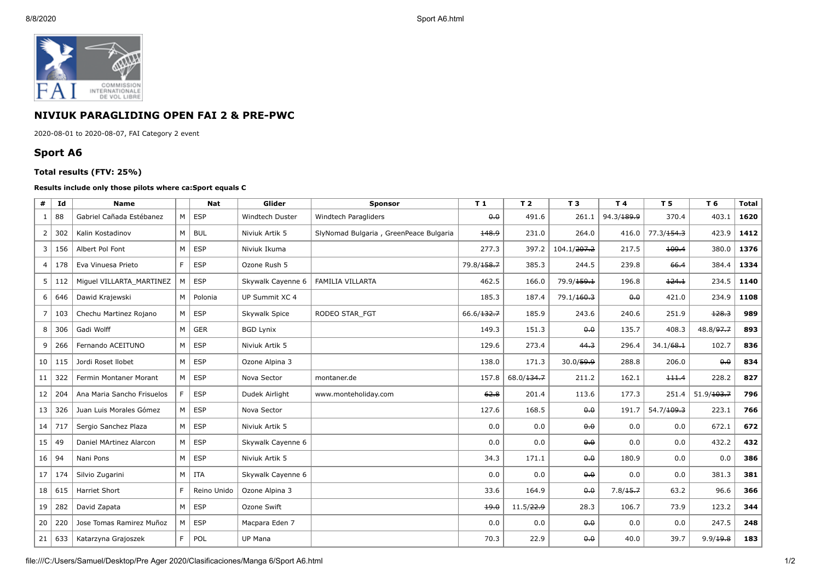

## **NIVIUK PARAGLIDING OPEN FAI 2 & PRE-PWC**

2020-08-01 to 2020-08-07, FAI Category 2 event

## **Sport A6**

## **Total results (FTV: 25%)**

## **Results include only those pilots where ca:Sport equals C**

| #               | Id         | <b>Name</b>                |   | <b>Nat</b>  | Glider            | <b>Sponsor</b>                         | T <sub>1</sub>         | T <sub>2</sub> | T <sub>3</sub>          | T 4                    | <b>T5</b>              | T 6        | <b>Total</b> |
|-----------------|------------|----------------------------|---|-------------|-------------------|----------------------------------------|------------------------|----------------|-------------------------|------------------------|------------------------|------------|--------------|
| 1               | 88         | Gabriel Cañada Estébanez   | M | <b>ESP</b>  | Windtech Duster   | Windtech Paragliders                   | 0.0                    | 491.6          | 261.1                   | 94.3/ <del>189.9</del> | 370.4                  | 403.1      | 1620         |
| $\overline{2}$  | 302        | Kalin Kostadinov           | M | <b>BUL</b>  | Niviuk Artik 5    | SlyNomad Bulgaria, GreenPeace Bulgaria | 148.9                  | 231.0          | 264.0                   | 416.0                  | 77.3/ <del>154.3</del> | 423.9      | 1412         |
| 3               | 156        | Albert Pol Font            | M | <b>ESP</b>  | Niviuk Ikuma      |                                        | 277.3                  | 397.2          | 104.1/ <del>207.2</del> | 217.5                  | 109.4                  | 380.0      | 1376         |
| 4               | 178        | Eva Vinuesa Prieto         | F | <b>ESP</b>  | Ozone Rush 5      |                                        | 79.8/ <del>158.7</del> | 385.3          | 244.5                   | 239.8                  | 66.4                   | 384.4      | 1334         |
| 5 <sup>1</sup>  | 112        | Miguel VILLARTA MARTINEZ   | M | <b>ESP</b>  | Skywalk Cayenne 6 | FAMILIA VILLARTA                       | 462.5                  | 166.0          | 79.9/ <del>159.1</del>  | 196.8                  | 124.1                  | 234.5      | 1140         |
| 6               | 646        | Dawid Krajewski            | M | Polonia     | UP Summit XC 4    |                                        | 185.3                  | 187.4          | 79.1/160.3              | 0.0                    | 421.0                  | 234.9      | 1108         |
| $\overline{7}$  | 103        | Chechu Martinez Rojano     | M | <b>ESP</b>  | Skywalk Spice     | RODEO STAR FGT                         | 66.6/132.7             | 185.9          | 243.6                   | 240.6                  | 251.9                  | 128.3      | 989          |
| 8               | 306        | Gadi Wolff                 | M | <b>GER</b>  | <b>BGD Lynix</b>  |                                        | 149.3                  | 151.3          | 0,0                     | 135.7                  | 408.3                  | 48.8/97.7  | 893          |
| 9               | 266        | Fernando ACEITUNO          | M | <b>ESP</b>  | Niviuk Artik 5    |                                        | 129.6                  | 273.4          | 44.3                    | 296.4                  | 34.1/68.1              | 102.7      | 836          |
| 10 <sup>1</sup> | 115        | Jordi Roset Ilobet         | M | <b>ESP</b>  | Ozone Alpina 3    |                                        | 138.0                  | 171.3          | 30.0/59.9               | 288.8                  | 206.0                  | 0.0        | 834          |
| 11              | 322        | Fermin Montaner Morant     | M | <b>ESP</b>  | Nova Sector       | montaner.de                            | 157.8                  | 68.0/134.7     | 211.2                   | 162.1                  | 111.4                  | 228.2      | 827          |
| 12              | 204        | Ana Maria Sancho Frisuelos | F | <b>ESP</b>  | Dudek Airlight    | www.monteholiday.com                   | 62.8                   | 201.4          | 113.6                   | 177.3                  | 251.4                  | 51.9/103.7 | 796          |
| 13              | 326        | Juan Luis Morales Gómez    | M | <b>ESP</b>  | Nova Sector       |                                        | 127.6                  | 168.5          | 0.0                     | 191.7                  | 54.7/109.3             | 223.1      | 766          |
|                 | $14$   717 | Sergio Sanchez Plaza       | M | <b>ESP</b>  | Niviuk Artik 5    |                                        | 0.0                    | 0.0            | 0.0                     | 0.0                    | 0.0                    | 672.1      | 672          |
| 15              | 49         | Daniel MArtinez Alarcon    | M | <b>ESP</b>  | Skywalk Cayenne 6 |                                        | 0.0                    | 0.0            | 0.0                     | 0.0                    | 0.0                    | 432.2      | 432          |
| 16              | 94         | Nani Pons                  | M | <b>ESP</b>  | Niviuk Artik 5    |                                        | 34.3                   | 171.1          | 0.0                     | 180.9                  | 0.0                    | 0.0        | 386          |
| 17              | 174        | Silvio Zugarini            | M | <b>ITA</b>  | Skywalk Cayenne 6 |                                        | 0.0                    | 0.0            | 0,0                     | 0.0                    | 0.0                    | 381.3      | 381          |
|                 | 18   615   | Harriet Short              | F | Reino Unido | Ozone Alpina 3    |                                        | 33.6                   | 164.9          | 0.0                     | 7.8/15.7               | 63.2                   | 96.6       | 366          |
| 19              | 282        | David Zapata               | M | <b>ESP</b>  | Ozone Swift       |                                        | 49.0                   | 11.5/22.9      | 28.3                    | 106.7                  | 73.9                   | 123.2      | 344          |
| 20              | 220        | Jose Tomas Ramirez Muñoz   | M | <b>ESP</b>  | Macpara Eden 7    |                                        | 0.0                    | 0.0            | 0.0                     | 0.0                    | 0.0                    | 247.5      | 248          |
| 21              | 633        | Katarzyna Grajoszek        | F | POL         | UP Mana           |                                        | 70.3                   | 22.9           | 0.0                     | 40.0                   | 39.7                   | 9.9/19.8   | 183          |